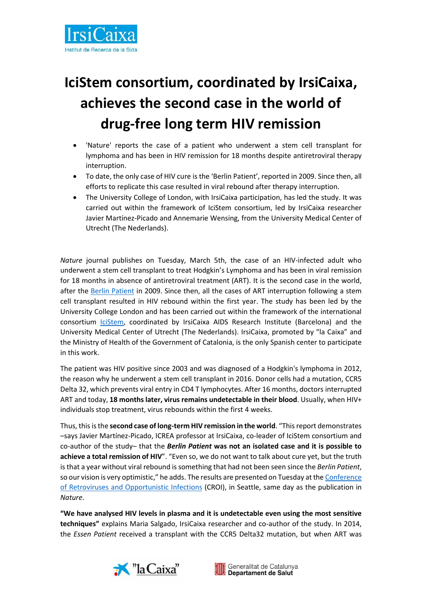

## **IciStem consortium, coordinated by IrsiCaixa, achieves the second case in the world of drug-free long term HIV remission**

- 'Nature' reports the case of a patient who underwent a stem cell transplant for lymphoma and has been in HIV remission for 18 months despite antiretroviral therapy interruption.
- To date, the only case of HIV cure is the 'Berlin Patient', reported in 2009. Since then, all efforts to replicate this case resulted in viral rebound after therapy interruption.
- The University College of London, with IrsiCaixa participation, has led the study. It was carried out within the framework of IciStem consortium, led by IrsiCaixa researcher Javier Martínez-Picado and Annemarie Wensing, from the University Medical Center of Utrecht (The Nederlands).

*Nature* journal publishes on Tuesday, March 5th, the case of an HIV-infected adult who underwent a stem cell transplant to treat Hodgkin's Lymphoma and has been in viral remission for 18 months in absence of antiretroviral treatment (ART). It is the second case in the world, after the Berlin [Patient](http://defeathiv.org/berlin/) in 2009. Since then, all the cases of ART interruption following a stem cell transplant resulted in HIV rebound within the first year. The study has been led by the University College London and has been carried out within the framework of the international consortium [IciStem,](https://www.icistem.org/) coordinated by IrsiCaixa AIDS Research Institute (Barcelona) and the University Medical Center of Utrecht (The Nederlands). IrsiCaixa, promoted by "la Caixa" and the Ministry of Health of the Government of Catalonia, is the only Spanish center to participate in this work.

The patient was HIV positive since 2003 and was diagnosed of a Hodgkin's lymphoma in 2012, the reason why he underwent a stem cell transplant in 2016. Donor cells had a mutation, CCR5 Delta 32, which prevents viral entry in CD4 T lymphocytes. After 16 months, doctors interrupted ART and today, **18 months later, virus remains undetectable in their blood**. Usually, when HIV+ individuals stop treatment, virus rebounds within the first 4 weeks.

Thus, this isthe **second case of long-term HIV remission in the world**. "This report demonstrates –says Javier Martínez-Picado, ICREA professor at IrsiCaixa, co-leader of IciStem consortium and co-author of the study– that the *Berlin Patient* **was not an isolated case and it is possible to achieve a total remission of HIV**". "Even so, we do not want to talk about cure yet, but the truth is that a year without viral rebound is something that had not been seen since the *Berlin Patient*, so our vision is very optimistic," he adds. The results are presented on Tuesday at the [Conference](http://www.croiconference.org/)  [of Retroviruses and Opportunistic Infections](http://www.croiconference.org/) (CROI), in Seattle, same day as the publication in *Nature*.

**"We have analysed HIV levels in plasma and it is undetectable even using the most sensitive techniques"** explains Maria Salgado, IrsiCaixa researcher and co-author of the study. In 2014, the *Essen Patient* received a transplant with the CCR5 Delta32 mutation, but when ART was